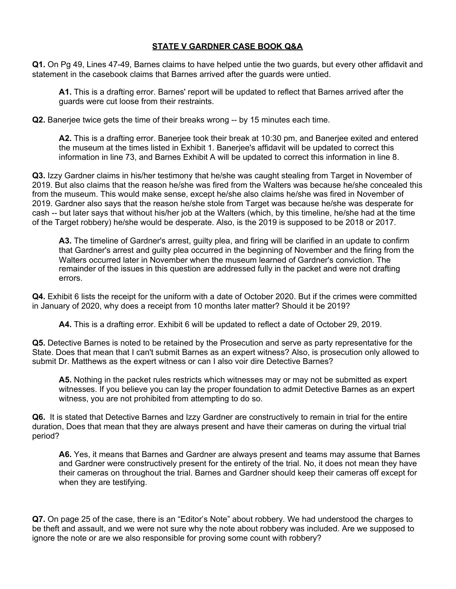## **STATE V GARDNER CASE BOOK Q&A**

**Q1.** On Pg 49, Lines 47-49, Barnes claims to have helped untie the two guards, but every other affidavit and statement in the casebook claims that Barnes arrived after the guards were untied.

**A1.** This is a drafting error. Barnes' report will be updated to reflect that Barnes arrived after the guards were cut loose from their restraints.

**Q2.** Banerjee twice gets the time of their breaks wrong -- by 15 minutes each time.

**A2.** This is a drafting error. Banerjee took their break at 10:30 pm, and Banerjee exited and entered the museum at the times listed in Exhibit 1. Banerjee's affidavit will be updated to correct this information in line 73, and Barnes Exhibit A will be updated to correct this information in line 8.

**Q3.** Izzy Gardner claims in his/her testimony that he/she was caught stealing from Target in November of 2019. But also claims that the reason he/she was fired from the Walters was because he/she concealed this from the museum. This would make sense, except he/she also claims he/she was fired in November of 2019. Gardner also says that the reason he/she stole from Target was because he/she was desperate for cash -- but later says that without his/her job at the Walters (which, by this timeline, he/she had at the time of the Target robbery) he/she would be desperate. Also, is the 2019 is supposed to be 2018 or 2017.

**A3.** The timeline of Gardner's arrest, guilty plea, and firing will be clarified in an update to confirm that Gardner's arrest and guilty plea occurred in the beginning of November and the firing from the Walters occurred later in November when the museum learned of Gardner's conviction. The remainder of the issues in this question are addressed fully in the packet and were not drafting errors.

**Q4.** Exhibit 6 lists the receipt for the uniform with a date of October 2020. But if the crimes were committed in January of 2020, why does a receipt from 10 months later matter? Should it be 2019?

**A4.** This is a drafting error. Exhibit 6 will be updated to reflect a date of October 29, 2019.

**Q5.** Detective Barnes is noted to be retained by the Prosecution and serve as party representative for the State. Does that mean that I can't submit Barnes as an expert witness? Also, is prosecution only allowed to submit Dr. Matthews as the expert witness or can I also voir dire Detective Barnes?

**A5.** Nothing in the packet rules restricts which witnesses may or may not be submitted as expert witnesses. If you believe you can lay the proper foundation to admit Detective Barnes as an expert witness, you are not prohibited from attempting to do so.

**Q6.** It is stated that Detective Barnes and Izzy Gardner are constructively to remain in trial for the entire duration, Does that mean that they are always present and have their cameras on during the virtual trial period?

**A6.** Yes, it means that Barnes and Gardner are always present and teams may assume that Barnes and Gardner were constructively present for the entirety of the trial. No, it does not mean they have their cameras on throughout the trial. Barnes and Gardner should keep their cameras off except for when they are testifying.

**Q7.** On page 25 of the case, there is an "Editor's Note" about robbery. We had understood the charges to be theft and assault, and we were not sure why the note about robbery was included. Are we supposed to ignore the note or are we also responsible for proving some count with robbery?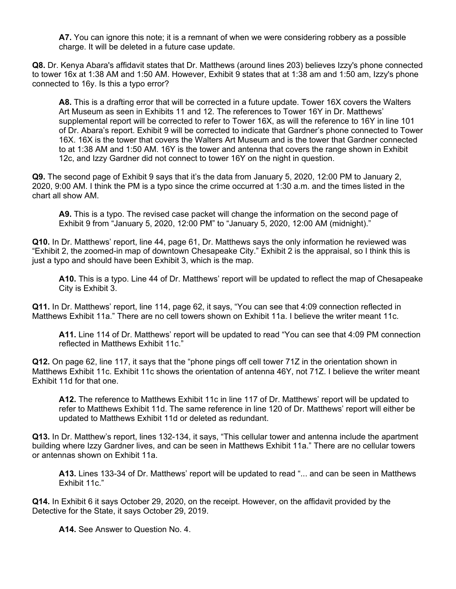**A7.** You can ignore this note; it is a remnant of when we were considering robbery as a possible charge. It will be deleted in a future case update.

**Q8.** Dr. Kenya Abara's affidavit states that Dr. Matthews (around lines 203) believes Izzy's phone connected to tower 16x at 1:38 AM and 1:50 AM. However, Exhibit 9 states that at 1:38 am and 1:50 am, Izzy's phone connected to 16y. Is this a typo error?

**A8.** This is a drafting error that will be corrected in a future update. Tower 16X covers the Walters Art Museum as seen in Exhibits 11 and 12. The references to Tower 16Y in Dr. Matthews' supplemental report will be corrected to refer to Tower 16X, as will the reference to 16Y in line 101 of Dr. Abara's report. Exhibit 9 will be corrected to indicate that Gardner's phone connected to Tower 16X. 16X is the tower that covers the Walters Art Museum and is the tower that Gardner connected to at 1:38 AM and 1:50 AM. 16Y is the tower and antenna that covers the range shown in Exhibit 12c, and Izzy Gardner did not connect to tower 16Y on the night in question.

**Q9.** The second page of Exhibit 9 says that it's the data from January 5, 2020, 12:00 PM to January 2, 2020, 9:00 AM. I think the PM is a typo since the crime occurred at 1:30 a.m. and the times listed in the chart all show AM.

**A9.** This is a typo. The revised case packet will change the information on the second page of Exhibit 9 from "January 5, 2020, 12:00 PM" to "January 5, 2020, 12:00 AM (midnight)."

**Q10.** In Dr. Matthews' report, line 44, page 61, Dr. Matthews says the only information he reviewed was "Exhibit 2, the zoomed-in map of downtown Chesapeake City." Exhibit 2 is the appraisal, so I think this is just a typo and should have been Exhibit 3, which is the map.

**A10.** This is a typo. Line 44 of Dr. Matthews' report will be updated to reflect the map of Chesapeake City is Exhibit 3.

**Q11.** In Dr. Matthews' report, line 114, page 62, it says, "You can see that 4:09 connection reflected in Matthews Exhibit 11a." There are no cell towers shown on Exhibit 11a. I believe the writer meant 11c.

**A11.** Line 114 of Dr. Matthews' report will be updated to read "You can see that 4:09 PM connection reflected in Matthews Exhibit 11c."

**Q12.** On page 62, line 117, it says that the "phone pings off cell tower 71Z in the orientation shown in Matthews Exhibit 11c. Exhibit 11c shows the orientation of antenna 46Y, not 71Z. I believe the writer meant Exhibit 11d for that one.

**A12.** The reference to Matthews Exhibit 11c in line 117 of Dr. Matthews' report will be updated to refer to Matthews Exhibit 11d. The same reference in line 120 of Dr. Matthews' report will either be updated to Matthews Exhibit 11d or deleted as redundant.

**Q13.** In Dr. Matthew's report, lines 132-134, it says, "This cellular tower and antenna include the apartment building where Izzy Gardner lives, and can be seen in Matthews Exhibit 11a." There are no cellular towers or antennas shown on Exhibit 11a.

**A13.** Lines 133-34 of Dr. Matthews' report will be updated to read "... and can be seen in Matthews Exhibit 11c."

**Q14.** In Exhibit 6 it says October 29, 2020, on the receipt. However, on the affidavit provided by the Detective for the State, it says October 29, 2019.

**A14.** See Answer to Question No. 4.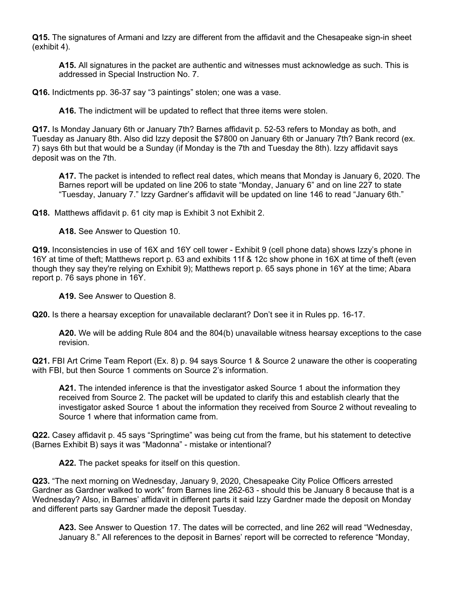**Q15.** The signatures of Armani and Izzy are different from the affidavit and the Chesapeake sign-in sheet (exhibit 4).

**A15.** All signatures in the packet are authentic and witnesses must acknowledge as such. This is addressed in Special Instruction No. 7.

**Q16.** Indictments pp. 36-37 say "3 paintings" stolen; one was a vase.

**A16.** The indictment will be updated to reflect that three items were stolen.

**Q17.** Is Monday January 6th or January 7th? Barnes affidavit p. 52-53 refers to Monday as both, and Tuesday as January 8th. Also did Izzy deposit the \$7800 on January 6th or January 7th? Bank record (ex. 7) says 6th but that would be a Sunday (if Monday is the 7th and Tuesday the 8th). Izzy affidavit says deposit was on the 7th.

**A17.** The packet is intended to reflect real dates, which means that Monday is January 6, 2020. The Barnes report will be updated on line 206 to state "Monday, January 6" and on line 227 to state "Tuesday, January 7." Izzy Gardner's affidavit will be updated on line 146 to read "January 6th."

**Q18.** Matthews affidavit p. 61 city map is Exhibit 3 not Exhibit 2.

**A18.** See Answer to Question 10.

**Q19.** Inconsistencies in use of 16X and 16Y cell tower - Exhibit 9 (cell phone data) shows Izzy's phone in 16Y at time of theft; Matthews report p. 63 and exhibits 11f & 12c show phone in 16X at time of theft (even though they say they're relying on Exhibit 9); Matthews report p. 65 says phone in 16Y at the time; Abara report p. 76 says phone in 16Y.

**A19.** See Answer to Question 8.

**Q20.** Is there a hearsay exception for unavailable declarant? Don't see it in Rules pp. 16-17.

**A20.** We will be adding Rule 804 and the 804(b) unavailable witness hearsay exceptions to the case revision.

**Q21.** FBI Art Crime Team Report (Ex. 8) p. 94 says Source 1 & Source 2 unaware the other is cooperating with FBI, but then Source 1 comments on Source 2's information.

**A21.** The intended inference is that the investigator asked Source 1 about the information they received from Source 2. The packet will be updated to clarify this and establish clearly that the investigator asked Source 1 about the information they received from Source 2 without revealing to Source 1 where that information came from.

**Q22.** Casey affidavit p. 45 says "Springtime" was being cut from the frame, but his statement to detective (Barnes Exhibit B) says it was "Madonna" - mistake or intentional?

**A22.** The packet speaks for itself on this question.

**Q23.** "The next morning on Wednesday, January 9, 2020, Chesapeake City Police Officers arrested Gardner as Gardner walked to work" from Barnes line 262-63 - should this be January 8 because that is a Wednesday? Also, in Barnes' affidavit in different parts it said Izzy Gardner made the deposit on Monday and different parts say Gardner made the deposit Tuesday.

**A23.** See Answer to Question 17. The dates will be corrected, and line 262 will read "Wednesday, January 8." All references to the deposit in Barnes' report will be corrected to reference "Monday,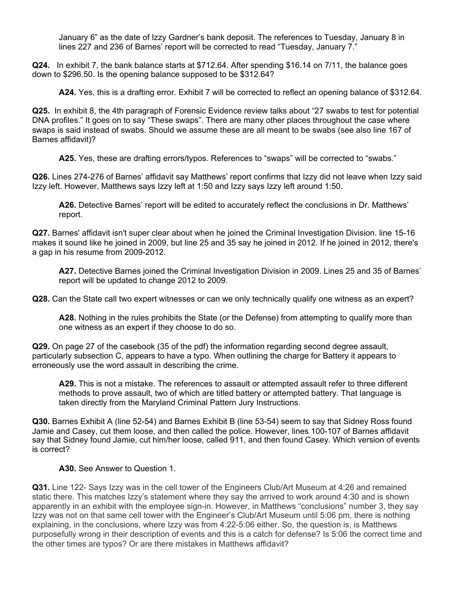January 6" as the date of Izzy Gardner's bank deposit. The references to Tuesday, January 8 in lines 227 and 236 of Barnes' report will be corrected to read "Tuesday, January 7."

**Q24.** In exhibit 7, the bank balance starts at \$712.64. After spending \$16.14 on 7/11, the balance goes down to \$296.50. Is the opening balance supposed to be \$312.64?

**A24.** Yes, this is a drafting error. Exhibit 7 will be corrected to reflect an opening balance of \$312.64.

**Q25.** In exhibit 8, the 4th paragraph of Forensic Evidence review talks about "27 swabs to test for potential DNA profiles." It goes on to say "These swaps". There are many other places throughout the case where swaps is said instead of swabs. Should we assume these are all meant to be swabs (see also line 167 of Barnes affidavit)?

**A25.** Yes, these are drafting errors/typos. References to "swaps" will be corrected to "swabs."

**Q26.** Lines 274-276 of Barnes' affidavit say Matthews' report confirms that Izzy did not leave when Izzy said Izzy left. However, Matthews says Izzy left at 1:50 and Izzy says Izzy left around 1:50.

**A26.** Detective Barnes' report will be edited to accurately reflect the conclusions in Dr. Matthews' report.

**Q27.** Barnes' affidavit isn't super clear about when he joined the Criminal Investigation Division. line 15-16 makes it sound like he joined in 2009, but line 25 and 35 say he joined in 2012. If he joined in 2012, there's a gap in his resume from 2009-2012.

**A27.** Detective Barnes joined the Criminal Investigation Division in 2009. Lines 25 and 35 of Barnes' report will be updated to change 2012 to 2009.

**Q28.** Can the State call two expert witnesses or can we only technically qualify one witness as an expert?

**A28.** Nothing in the rules prohibits the State (or the Defense) from attempting to qualify more than one witness as an expert if they choose to do so.

**Q29.** On page 27 of the casebook (35 of the pdf) the information regarding second degree assault, particularly subsection C, appears to have a typo. When outlining the charge for Battery it appears to erroneously use the word assault in describing the crime.

**A29.** This is not a mistake. The references to assault or attempted assault refer to three different methods to prove assault, two of which are titled battery or attempted battery. That language is taken directly from the Maryland Criminal Pattern Jury Instructions.

**Q30.** Barnes Exhibit A (line 52-54) and Barnes Exhibit B (line 53-54) seem to say that Sidney Ross found Jamie and Casey, cut them loose, and then called the police. However, lines 100-107 of Barnes affidavit say that Sidney found Jamie, cut him/her loose, called 911, and then found Casey. Which version of events is correct?

## **A30.** See Answer to Question 1.

**Q31.** Line 122- Says Izzy was in the cell tower of the Engineers Club/Art Museum at 4:26 and remained static there. This matches Izzy's statement where they say the arrived to work around 4:30 and is shown apparently in an exhibit with the employee sign-in. However, in Matthews "conclusions" number 3, they say Izzy was not on that same cell tower with the Engineer's Club/Art Museum until 5:06 pm, there is nothing explaining, in the conclusions, where Izzy was from 4:22-5:06 either. So, the question is, is Matthews purposefully wrong in their description of events and this is a catch for defense? Is 5:06 the correct time and the other times are typos? Or are there mistakes in Matthews affidavit?